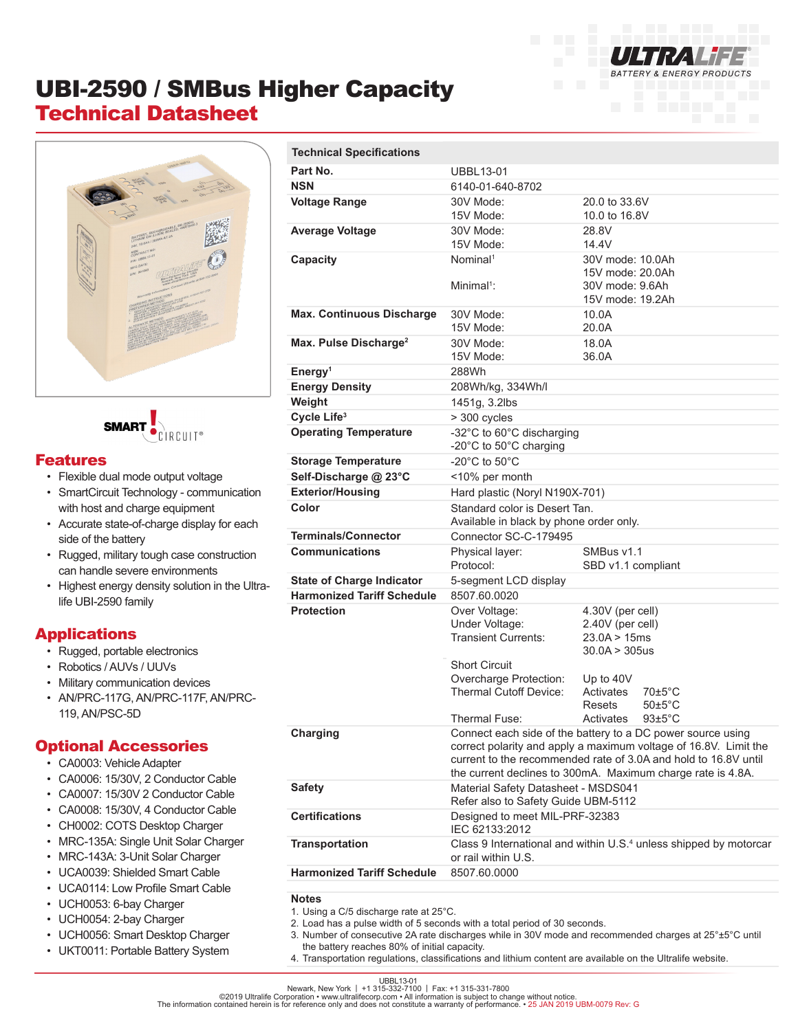

# UBI-2590 / SMBus Higher Capacity Technical Datasheet





#### Features

- Flexible dual mode output voltage
- SmartCircuit Technology communication with host and charge equipment
- Accurate state-of-charge display for each side of the battery
- Rugged, military tough case construction can handle severe environments
- Highest energy density solution in the Ultralife UBI-2590 family

### Applications

- Rugged, portable electronics
- Robotics / AUVs / UUVs
- Military communication devices
- AN/PRC-117G, AN/PRC-117F, AN/PRC-119, AN/PSC-5D

#### Optional Accessories

- CA0003: Vehicle Adapter
- CA0006: 15/30V, 2 Conductor Cable
- CA0007: 15/30V 2 Conductor Cable
- CA0008: 15/30V, 4 Conductor Cable
- CH0002: COTS Desktop Charger
- MRC-135A: Single Unit Solar Charger
- MRC-143A: 3-Unit Solar Charger
- UCA0039: Shielded Smart Cable
- UCA0114: Low Profile Smart Cable
- UCH0053: 6-bay Charger
- UCH0054: 2-bay Charger
- UCH0056: Smart Desktop Charger
- UKT0011: Portable Battery System

| <b>Technical Specifications</b>   |                                                                                                                                 |                                     |
|-----------------------------------|---------------------------------------------------------------------------------------------------------------------------------|-------------------------------------|
| Part No.                          | <b>UBBL13-01</b>                                                                                                                |                                     |
| <b>NSN</b>                        | 6140-01-640-8702                                                                                                                |                                     |
| <b>Voltage Range</b>              | 30V Mode:                                                                                                                       | 20.0 to 33.6V                       |
|                                   | 15V Mode:                                                                                                                       | 10.0 to 16.8V                       |
| <b>Average Voltage</b>            | 30V Mode:                                                                                                                       | 28.8V                               |
|                                   | 15V Mode:                                                                                                                       | 14.4V                               |
| Capacity                          | Nominal <sup>1</sup>                                                                                                            | 30V mode: 10.0Ah                    |
|                                   | Minimal <sup>1</sup> :                                                                                                          | 15V mode: 20.0Ah<br>30V mode: 9.6Ah |
|                                   |                                                                                                                                 | 15V mode: 19.2Ah                    |
| <b>Max. Continuous Discharge</b>  | 30V Mode:                                                                                                                       | 10.0A                               |
|                                   | 15V Mode:                                                                                                                       | 20.0A                               |
| Max. Pulse Discharge <sup>2</sup> | 30V Mode:                                                                                                                       | 18.0A                               |
|                                   | 15V Mode:                                                                                                                       | 36.0A                               |
| Energy <sup>1</sup>               | 288Wh                                                                                                                           |                                     |
| <b>Energy Density</b>             | 208Wh/kg, 334Wh/l                                                                                                               |                                     |
| Weight                            | 1451g, 3.2lbs                                                                                                                   |                                     |
| Cycle Life <sup>3</sup>           | > 300 cycles                                                                                                                    |                                     |
| <b>Operating Temperature</b>      | -32°C to 60°C discharging                                                                                                       |                                     |
|                                   | -20°C to 50°C charging                                                                                                          |                                     |
| <b>Storage Temperature</b>        | -20 $^{\circ}$ C to 50 $^{\circ}$ C                                                                                             |                                     |
| Self-Discharge @ 23°C             | <10% per month                                                                                                                  |                                     |
| <b>Exterior/Housing</b>           | Hard plastic (Noryl N190X-701)                                                                                                  |                                     |
| Color                             | Standard color is Desert Tan.<br>Available in black by phone order only.                                                        |                                     |
| <b>Terminals/Connector</b>        | Connector SC-C-179495                                                                                                           |                                     |
| <b>Communications</b>             | Physical layer:                                                                                                                 | SMBus v1.1                          |
|                                   | Protocol:                                                                                                                       | SBD v1.1 compliant                  |
| <b>State of Charge Indicator</b>  | 5-segment LCD display                                                                                                           |                                     |
| <b>Harmonized Tariff Schedule</b> | 8507.60.0020                                                                                                                    |                                     |
| <b>Protection</b>                 | Over Voltage:                                                                                                                   | 4.30V (per cell)                    |
|                                   | Under Voltage:<br>Transient Currents:                                                                                           | 2.40V (per cell)<br>23.0A > 15ms    |
|                                   |                                                                                                                                 | 30.0A > 305us                       |
|                                   | <b>Short Circuit</b>                                                                                                            |                                     |
|                                   | Overcharge Protection:                                                                                                          | Up to 40V                           |
|                                   | Thermal Cutoff Device:                                                                                                          | Activates<br>$70\pm5^{\circ}$ C     |
|                                   |                                                                                                                                 | $50 \pm 5^{\circ}$ C<br>Resets      |
|                                   | Thermal Fuse:                                                                                                                   | $93 \pm 5^{\circ}$ C<br>Activates   |
| Charging                          | Connect each side of the battery to a DC power source using<br>correct polarity and apply a maximum voltage of 16.8V. Limit the |                                     |
|                                   | current to the recommended rate of 3.0A and hold to 16.8V until                                                                 |                                     |
|                                   | the current declines to 300mA. Maximum charge rate is 4.8A.                                                                     |                                     |
| <b>Safety</b>                     | Material Safety Datasheet - MSDS041                                                                                             |                                     |
|                                   | Refer also to Safety Guide UBM-5112                                                                                             |                                     |
| <b>Certifications</b>             | Designed to meet MIL-PRF-32383<br>IEC 62133:2012                                                                                |                                     |
| Transportation                    | Class 9 International and within U.S. <sup>4</sup> unless shipped by motorcar<br>or rail within U.S.                            |                                     |
| <b>Harmonized Tariff Schedule</b> | 8507.60.0000                                                                                                                    |                                     |
|                                   |                                                                                                                                 |                                     |
|                                   |                                                                                                                                 |                                     |

**Notes**

- 1. Using a C/5 discharge rate at 25°C.
- 2. Load has a pulse width of 5 seconds with a total period of 30 seconds.
- 3. Number of consecutive 2A rate discharges while in 30V mode and recommended charges at 25°±5°C until the battery reaches 80% of initial capacity.
- 4. Transportation regulations, classifications and lithium content are available on the Ultralife website.

UBBL13-01<br>Newark, New York | +1 315-332-7100 | Fax: +1 315-331-7800<br>The information contained herein is for reference only and does not constitute a warranty of performance. • 25 JAN 2019 UBM-0079 Rev: G<br>The information co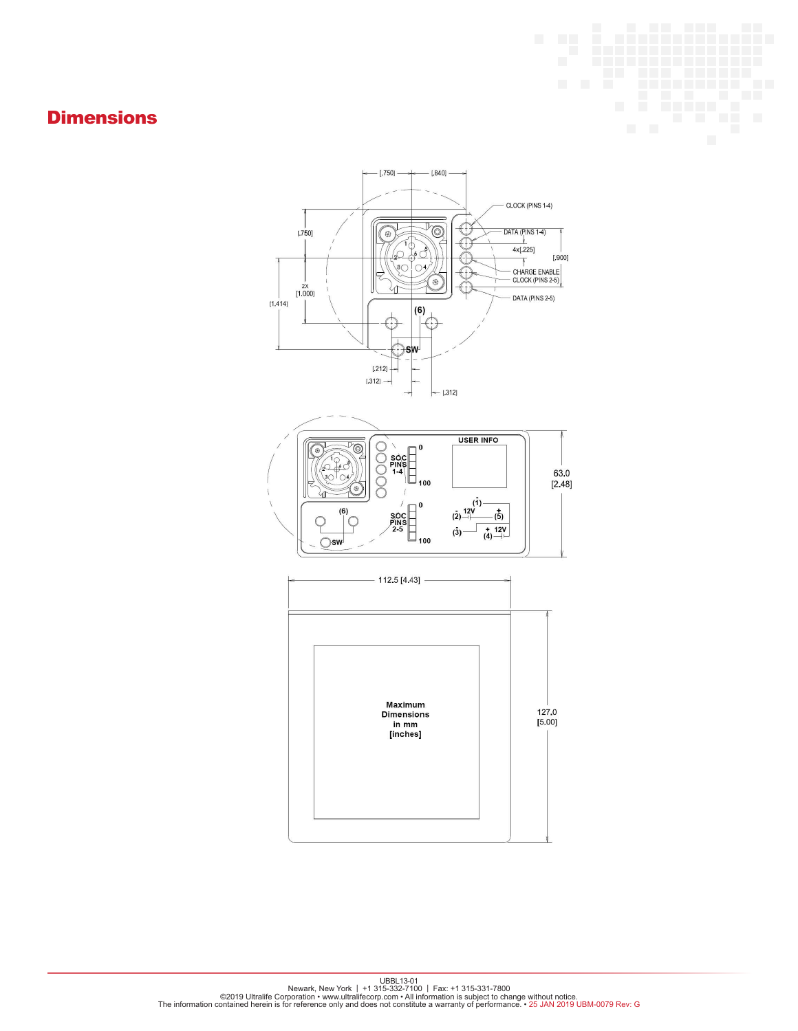### **Dimensions**